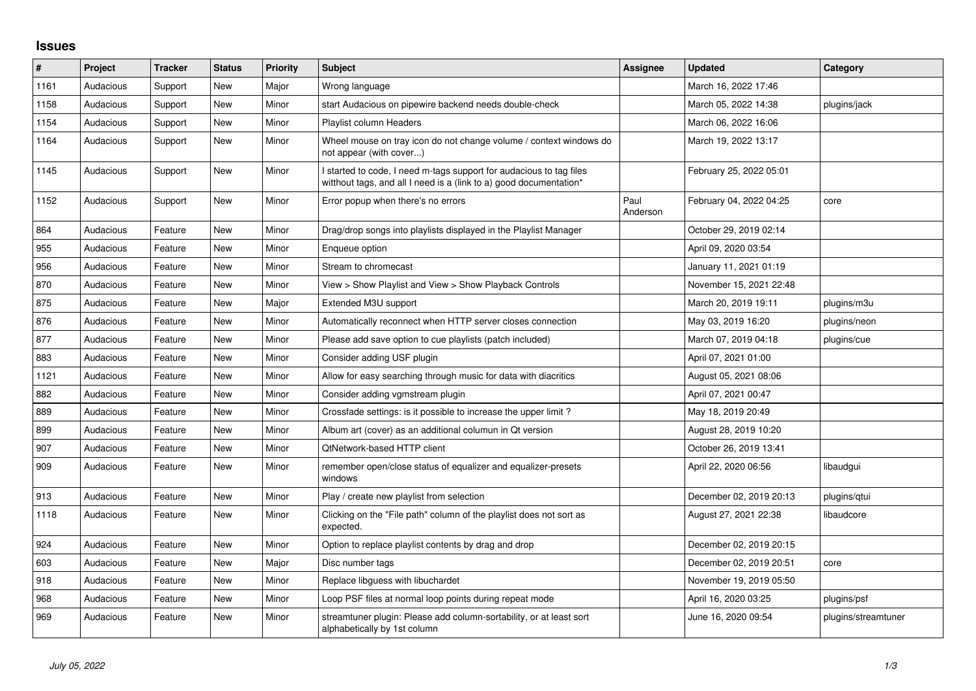## **Issues**

| $\#$ | Project   | <b>Tracker</b> | <b>Status</b> | <b>Priority</b> | <b>Subject</b>                                                                                                                            | <b>Assignee</b>  | <b>Updated</b>          | Category            |
|------|-----------|----------------|---------------|-----------------|-------------------------------------------------------------------------------------------------------------------------------------------|------------------|-------------------------|---------------------|
| 1161 | Audacious | Support        | <b>New</b>    | Major           | Wrong language                                                                                                                            |                  | March 16, 2022 17:46    |                     |
| 1158 | Audacious | Support        | New           | Minor           | start Audacious on pipewire backend needs double-check                                                                                    |                  | March 05, 2022 14:38    | plugins/jack        |
| 1154 | Audacious | Support        | New           | Minor           | Playlist column Headers                                                                                                                   |                  | March 06, 2022 16:06    |                     |
| 1164 | Audacious | Support        | New           | Minor           | Wheel mouse on tray icon do not change volume / context windows do<br>not appear (with cover)                                             |                  | March 19, 2022 13:17    |                     |
| 1145 | Audacious | Support        | New           | Minor           | I started to code, I need m-tags support for audacious to tag files<br>witthout tags, and all I need is a (link to a) good documentation* |                  | February 25, 2022 05:01 |                     |
| 1152 | Audacious | Support        | New           | Minor           | Error popup when there's no errors                                                                                                        | Paul<br>Anderson | February 04, 2022 04:25 | core                |
| 864  | Audacious | Feature        | New           | Minor           | Drag/drop songs into playlists displayed in the Playlist Manager                                                                          |                  | October 29, 2019 02:14  |                     |
| 955  | Audacious | Feature        | New           | Minor           | Enqueue option                                                                                                                            |                  | April 09, 2020 03:54    |                     |
| 956  | Audacious | Feature        | New           | Minor           | Stream to chromecast                                                                                                                      |                  | January 11, 2021 01:19  |                     |
| 870  | Audacious | Feature        | New           | Minor           | View > Show Playlist and View > Show Playback Controls                                                                                    |                  | November 15, 2021 22:48 |                     |
| 875  | Audacious | Feature        | New           | Major           | Extended M3U support                                                                                                                      |                  | March 20, 2019 19:11    | plugins/m3u         |
| 876  | Audacious | Feature        | New           | Minor           | Automatically reconnect when HTTP server closes connection                                                                                |                  | May 03, 2019 16:20      | plugins/neon        |
| 877  | Audacious | Feature        | New           | Minor           | Please add save option to cue playlists (patch included)                                                                                  |                  | March 07, 2019 04:18    | plugins/cue         |
| 883  | Audacious | Feature        | <b>New</b>    | Minor           | Consider adding USF plugin                                                                                                                |                  | April 07, 2021 01:00    |                     |
| 1121 | Audacious | Feature        | New           | Minor           | Allow for easy searching through music for data with diacritics                                                                           |                  | August 05, 2021 08:06   |                     |
| 882  | Audacious | Feature        | <b>New</b>    | Minor           | Consider adding vgmstream plugin                                                                                                          |                  | April 07, 2021 00:47    |                     |
| 889  | Audacious | Feature        | New           | Minor           | Crossfade settings: is it possible to increase the upper limit?                                                                           |                  | May 18, 2019 20:49      |                     |
| 899  | Audacious | Feature        | <b>New</b>    | Minor           | Album art (cover) as an additional columun in Qt version                                                                                  |                  | August 28, 2019 10:20   |                     |
| 907  | Audacious | Feature        | New           | Minor           | <b>QtNetwork-based HTTP client</b>                                                                                                        |                  | October 26, 2019 13:41  |                     |
| 909  | Audacious | Feature        | <b>New</b>    | Minor           | remember open/close status of equalizer and equalizer-presets<br>windows                                                                  |                  | April 22, 2020 06:56    | libaudgui           |
| 913  | Audacious | Feature        | New           | Minor           | Play / create new playlist from selection                                                                                                 |                  | December 02, 2019 20:13 | plugins/gtui        |
| 1118 | Audacious | Feature        | <b>New</b>    | Minor           | Clicking on the "File path" column of the playlist does not sort as<br>expected.                                                          |                  | August 27, 2021 22:38   | libaudcore          |
| 924  | Audacious | Feature        | New           | Minor           | Option to replace playlist contents by drag and drop                                                                                      |                  | December 02, 2019 20:15 |                     |
| 603  | Audacious | Feature        | New           | Major           | Disc number tags                                                                                                                          |                  | December 02, 2019 20:51 | core                |
| 918  | Audacious | Feature        | New           | Minor           | Replace libguess with libuchardet                                                                                                         |                  | November 19, 2019 05:50 |                     |
| 968  | Audacious | Feature        | New           | Minor           | Loop PSF files at normal loop points during repeat mode                                                                                   |                  | April 16, 2020 03:25    | plugins/psf         |
| 969  | Audacious | Feature        | New           | Minor           | streamtuner plugin: Please add column-sortability, or at least sort<br>alphabetically by 1st column                                       |                  | June 16, 2020 09:54     | plugins/streamtuner |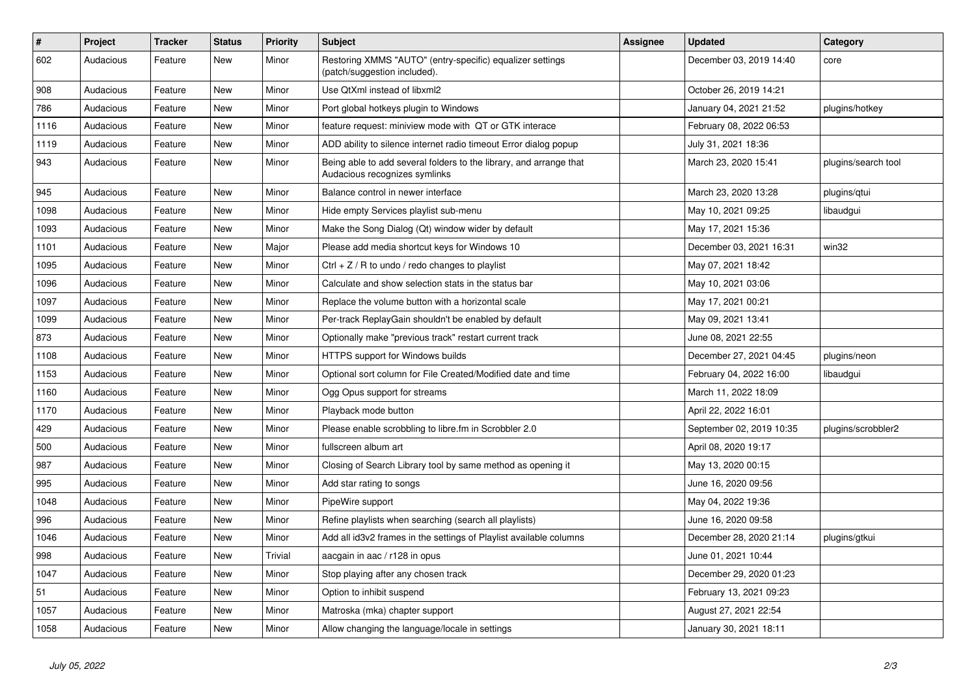| $\vert$ # | Project   | <b>Tracker</b> | <b>Status</b> | <b>Priority</b> | <b>Subject</b>                                                                                      | <b>Assignee</b> | <b>Updated</b>           | Category            |
|-----------|-----------|----------------|---------------|-----------------|-----------------------------------------------------------------------------------------------------|-----------------|--------------------------|---------------------|
| 602       | Audacious | Feature        | <b>New</b>    | Minor           | Restoring XMMS "AUTO" (entry-specific) equalizer settings<br>(patch/suggestion included).           |                 | December 03, 2019 14:40  | core                |
| 908       | Audacious | Feature        | <b>New</b>    | Minor           | Use QtXml instead of libxml2                                                                        |                 | October 26, 2019 14:21   |                     |
| 786       | Audacious | Feature        | <b>New</b>    | Minor           | Port global hotkeys plugin to Windows                                                               |                 | January 04, 2021 21:52   | plugins/hotkey      |
| 1116      | Audacious | Feature        | New           | Minor           | feature request: miniview mode with QT or GTK interace                                              |                 | February 08, 2022 06:53  |                     |
| 1119      | Audacious | Feature        | New           | Minor           | ADD ability to silence internet radio timeout Error dialog popup                                    |                 | July 31, 2021 18:36      |                     |
| 943       | Audacious | Feature        | New           | Minor           | Being able to add several folders to the library, and arrange that<br>Audacious recognizes symlinks |                 | March 23, 2020 15:41     | plugins/search tool |
| 945       | Audacious | Feature        | <b>New</b>    | Minor           | Balance control in newer interface                                                                  |                 | March 23, 2020 13:28     | plugins/gtui        |
| 1098      | Audacious | Feature        | <b>New</b>    | Minor           | Hide empty Services playlist sub-menu                                                               |                 | May 10, 2021 09:25       | libaudgui           |
| 1093      | Audacious | Feature        | New           | Minor           | Make the Song Dialog (Qt) window wider by default                                                   |                 | May 17, 2021 15:36       |                     |
| 1101      | Audacious | Feature        | <b>New</b>    | Major           | Please add media shortcut keys for Windows 10                                                       |                 | December 03, 2021 16:31  | win32               |
| 1095      | Audacious | Feature        | <b>New</b>    | Minor           | Ctrl $+$ Z / R to undo / redo changes to playlist                                                   |                 | May 07, 2021 18:42       |                     |
| 1096      | Audacious | Feature        | New           | Minor           | Calculate and show selection stats in the status bar                                                |                 | May 10, 2021 03:06       |                     |
| 1097      | Audacious | Feature        | New           | Minor           | Replace the volume button with a horizontal scale                                                   |                 | May 17, 2021 00:21       |                     |
| 1099      | Audacious | Feature        | New           | Minor           | Per-track ReplayGain shouldn't be enabled by default                                                |                 | May 09, 2021 13:41       |                     |
| 873       | Audacious | Feature        | <b>New</b>    | Minor           | Optionally make "previous track" restart current track                                              |                 | June 08, 2021 22:55      |                     |
| 1108      | Audacious | Feature        | <b>New</b>    | Minor           | HTTPS support for Windows builds                                                                    |                 | December 27, 2021 04:45  | plugins/neon        |
| 1153      | Audacious | Feature        | New           | Minor           | Optional sort column for File Created/Modified date and time                                        |                 | February 04, 2022 16:00  | libaudgui           |
| 1160      | Audacious | Feature        | <b>New</b>    | Minor           | Ogg Opus support for streams                                                                        |                 | March 11, 2022 18:09     |                     |
| 1170      | Audacious | Feature        | <b>New</b>    | Minor           | Playback mode button                                                                                |                 | April 22, 2022 16:01     |                     |
| 429       | Audacious | Feature        | <b>New</b>    | Minor           | Please enable scrobbling to libre.fm in Scrobbler 2.0                                               |                 | September 02, 2019 10:35 | plugins/scrobbler2  |
| 500       | Audacious | Feature        | <b>New</b>    | Minor           | fullscreen album art                                                                                |                 | April 08, 2020 19:17     |                     |
| 987       | Audacious | Feature        | <b>New</b>    | Minor           | Closing of Search Library tool by same method as opening it                                         |                 | May 13, 2020 00:15       |                     |
| 995       | Audacious | Feature        | <b>New</b>    | Minor           | Add star rating to songs                                                                            |                 | June 16, 2020 09:56      |                     |
| 1048      | Audacious | Feature        | <b>New</b>    | Minor           | PipeWire support                                                                                    |                 | May 04, 2022 19:36       |                     |
| 996       | Audacious | Feature        | <b>New</b>    | Minor           | Refine playlists when searching (search all playlists)                                              |                 | June 16, 2020 09:58      |                     |
| 1046      | Audacious | Feature        | <b>New</b>    | Minor           | Add all id3v2 frames in the settings of Playlist available columns                                  |                 | December 28, 2020 21:14  | plugins/gtkui       |
| 998       | Audacious | Feature        | <b>New</b>    | Trivial         | aacgain in aac / r128 in opus                                                                       |                 | June 01, 2021 10:44      |                     |
| 1047      | Audacious | Feature        | New           | Minor           | Stop playing after any chosen track                                                                 |                 | December 29, 2020 01:23  |                     |
| 51        | Audacious | Feature        | <b>New</b>    | Minor           | Option to inhibit suspend                                                                           |                 | February 13, 2021 09:23  |                     |
| 1057      | Audacious | Feature        | <b>New</b>    | Minor           | Matroska (mka) chapter support                                                                      |                 | August 27, 2021 22:54    |                     |
| 1058      | Audacious | Feature        | <b>New</b>    | Minor           | Allow changing the language/locale in settings                                                      |                 | January 30, 2021 18:11   |                     |